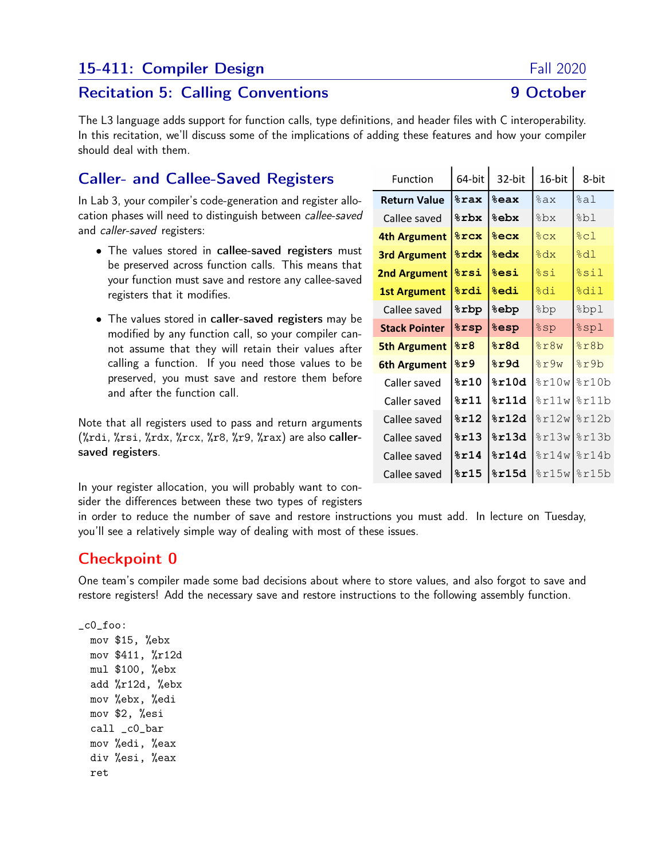## 15-411: Compiler Design Fall 2020

#### Recitation 5: Calling Conventions **9 October**

The L3 language adds support for function calls, type definitions, and header files with C interoperability. In this recitation, we'll discuss some of the implications of adding these features and how your compiler should deal with them.

## Caller- and Callee-Saved Registers

In Lab 3, your compiler's code-generation and register allocation phases will need to distinguish between callee-saved and caller-saved registers:

- The values stored in callee-saved registers must be preserved across function calls. This means that your function must save and restore any callee-saved registers that it modifies.
- The values stored in caller-saved registers may be modified by any function call, so your compiler cannot assume that they will retain their values after calling a function. If you need those values to be preserved, you must save and restore them before and after the function call.

Note that all registers used to pass and return arguments  $(\lambda \text{rdi}, \lambda \text{rsi}, \lambda \text{rdx}, \lambda \text{rcx}, \lambda \text{r8}, \lambda \text{r9}, \lambda \text{rax})$  are also callersaved registers.

In your register allocation, you will probably want to consider the differences between these two types of registers

in order to reduce the number of save and restore instructions you must add. In lecture on Tuesday, you'll see a relatively simple way of dealing with most of these issues.

#### Checkpoint 0

One team's compiler made some bad decisions about where to store values, and also forgot to save and restore registers! Add the necessary save and restore instructions to the following assembly function.

```
_c0_foo:
 mov $15, %ebx
 mov $411, %r12d
 mul $100, %ebx
  add %r12d, %ebx
 mov %ebx, %edi
 mov $2, %esi
  call _c0_bar
 mov %edi, %eax
  div %esi, %eax
 ret
```

| Function             | 64-bit            | 32-bit                           | 16-bit | 8-bit            |
|----------------------|-------------------|----------------------------------|--------|------------------|
| <b>Return Value</b>  | <b>&amp;rax</b>   | %eax                             | %ax    | %al              |
| Callee saved         | <b>&amp;rbx</b>   | <b>&amp;ebx</b>                  | %bx    | %bl              |
| 4th Argument         | $8$ rcx           | 8ecx                             | 8cx    | $\frac{8}{2}$ cl |
| <b>3rd Argument</b>  | $\frac{1}{2}$ rdx | <b>&amp;edx</b>                  | %dx    | 8d1              |
| <b>2nd Argument</b>  | <b>&amp;rsi</b>   | <b>%esi</b>                      | $s$ si | %sil             |
| <b>1st Argument</b>  | <b>%rdi</b>       | <b>%edi</b>                      | %di    | %dil             |
| Callee saved         | <b>&amp;rbp</b>   | ebp?                             | 8bp    | %bpl             |
| <b>Stack Pointer</b> | <b>&amp;rsp</b>   | <b><i><u><b></b></u></i></b> esp | $s$ sp | $%$ spl          |
| <b>5th Argument</b>  | 8x8               | %r8d                             | 8r8w   | 8r8b             |
| <b>6th Argument</b>  | 8r9               | 8r9d                             | 8r9w   | $s$ r9b          |
| Caller saved         | $\$$ r $10\:$     | $\$$ r $10$ d                    | 8r10w  | 8r10b            |
| Caller saved         | $8$ r $11\,$      | 8r11d                            | 8r11w  | 8r11b            |
| Callee saved         | $8$ r $12$        | $\$$ r $12d$                     | 8r12w  | 8r12b            |
| Callee saved         | $\$$ r $13$       | $\$$ r $13$ d                    | 8r13w  | 8r13b            |
| Callee saved         | 8r14              | $\$$ r $14$ d                    | 8r14w  | 8r14b            |
| Callee saved         | $\$$ r $15$       | $\$$ r $15$ d                    |        | $\frac{15w}{2}$  |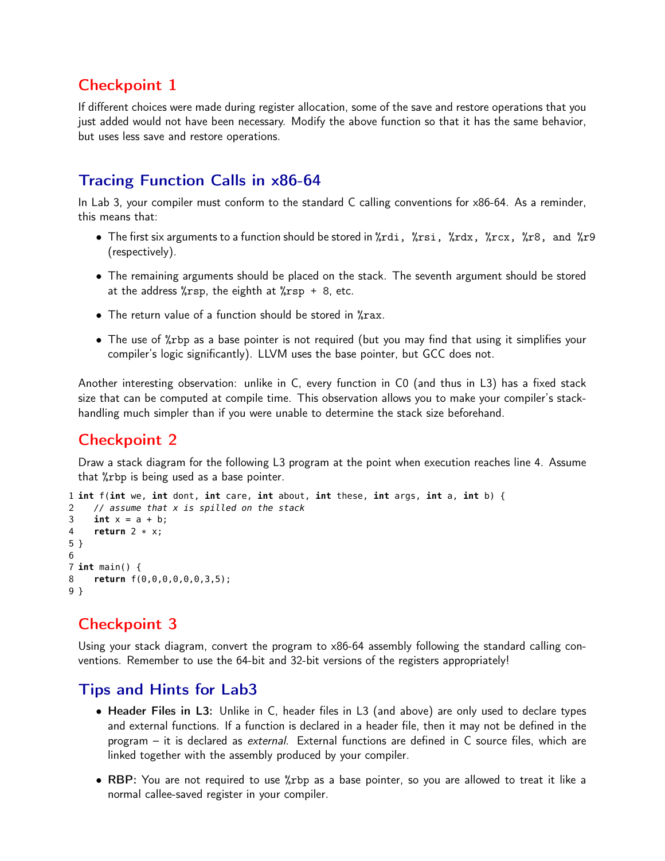### Checkpoint 1

If different choices were made during register allocation, some of the save and restore operations that you just added would not have been necessary. Modify the above function so that it has the same behavior, but uses less save and restore operations.

# Tracing Function Calls in x86-64

In Lab 3, your compiler must conform to the standard C calling conventions for x86-64. As a reminder, this means that:

- The first six arguments to a function should be stored in %rdi, %rsi, %rdx, %rcx, %r8, and %r9 (respectively).
- The remaining arguments should be placed on the stack. The seventh argument should be stored at the address  $\frac{6}{x}$ rsp, the eighth at  $\frac{6}{x}$ rsp + 8, etc.
- The return value of a function should be stored in %rax.
- The use of %rbp as a base pointer is not required (but you may find that using it simplifies your compiler's logic significantly). LLVM uses the base pointer, but GCC does not.

Another interesting observation: unlike in C, every function in C0 (and thus in L3) has a fixed stack size that can be computed at compile time. This observation allows you to make your compiler's stackhandling much simpler than if you were unable to determine the stack size beforehand.

# Checkpoint 2

Draw a stack diagram for the following L3 program at the point when execution reaches line 4. Assume that %rbp is being used as a base pointer.

```
1 int f(int we, int dont, int care, int about, int these, int args, int a, int b) {
2 // assume that x is spilled on the stack
3 int x = a + b;
4 return 2 * x;
5 }
6
7 int main() {
8 return f(0,0,0,0,0,0,3,5);
9 }
```
# Checkpoint 3

Using your stack diagram, convert the program to x86-64 assembly following the standard calling conventions. Remember to use the 64-bit and 32-bit versions of the registers appropriately!

#### Tips and Hints for Lab3

- Header Files in L3: Unlike in C, header files in L3 (and above) are only used to declare types and external functions. If a function is declared in a header file, then it may not be defined in the program – it is declared as external. External functions are defined in C source files, which are linked together with the assembly produced by your compiler.
- RBP: You are not required to use %rbp as a base pointer, so you are allowed to treat it like a normal callee-saved register in your compiler.